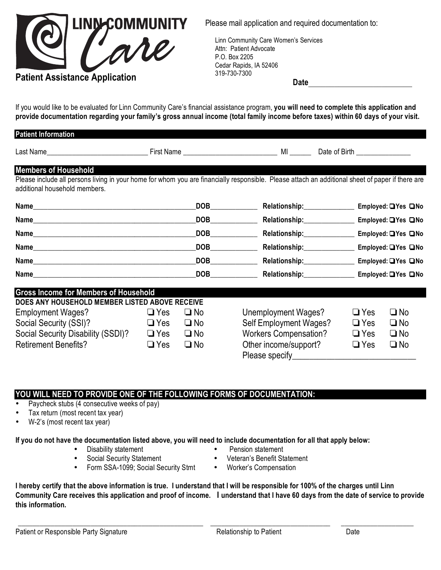

Please mail application and required documentation to:

Linn Community Care Women's Services<br>Attn: Patient Advocate<br>P.O. Box 2205 Attn: Patient Advocate P.O. Box 2205 Cedar Rapids, IA 52406 319-730-7300

*<u>Date</u>* **Date**\_\_\_\_\_\_\_\_\_\_\_\_\_\_\_\_\_\_\_\_\_\_\_\_

If you would like to be evaluated for Linn Community Care's financial assistance program, **you will need to complete this application and provide documentation regarding your family's gross annual income (total family income before taxes) within 60 days of your visit.**

| <b>Patient Information</b>                                                                                                                                                        |            |              |                                                           |                                |                      |
|-----------------------------------------------------------------------------------------------------------------------------------------------------------------------------------|------------|--------------|-----------------------------------------------------------|--------------------------------|----------------------|
|                                                                                                                                                                                   |            |              |                                                           | Date of Birth ________________ |                      |
| <b>Members of Household</b>                                                                                                                                                       |            |              |                                                           |                                |                      |
| Please include all persons living in your home for whom you are financially responsible. Please attach an additional sheet of paper if there are<br>additional household members. |            |              |                                                           |                                |                      |
|                                                                                                                                                                                   |            |              | Relationship:_______________                              |                                | Employed: □ Yes □ No |
|                                                                                                                                                                                   |            |              | DOB <b>DOB</b><br>Relationship:______________             |                                | Employed: □ Yes □ No |
|                                                                                                                                                                                   |            | <b>DOB</b>   | Relationship:_______________                              |                                | Employed: UYes UNo   |
|                                                                                                                                                                                   |            |              | DOB<br>Relationship:______________                        |                                | Employed: □ Yes □ No |
|                                                                                                                                                                                   |            |              | DOB<br>Relationship:_____________                         |                                | Employed: □ Yes □ No |
|                                                                                                                                                                                   |            |              | Relationship:__________________ Employed: QYes QNo<br>DOB |                                |                      |
| <b>Gross Income for Members of Household</b>                                                                                                                                      |            |              |                                                           |                                |                      |
| DOES ANY HOUSEHOLD MEMBER LISTED ABOVE RECEIVE                                                                                                                                    |            |              |                                                           |                                |                      |
| <b>Employment Wages?</b>                                                                                                                                                          | $\Box$ Yes | $\square$ No | Unemployment Wages?                                       | $\Box$ Yes                     | $\square$ No         |
| Social Security (SSI)?                                                                                                                                                            | $\Box$ Yes | $\square$ No | Self Employment Wages?                                    | $\Box$ Yes                     | $\square$ No         |
| Social Security Disability (SSDI)?                                                                                                                                                | $\Box$ Yes | $\square$ No | <b>Workers Compensation?</b>                              | $\Box$ Yes                     | $\square$ No         |
| <b>Retirement Benefits?</b>                                                                                                                                                       | $\Box$ Yes | $\square$ No | Other income/support?<br>Please specify_____              | $\Box$ Yes                     | $\square$ No         |

## **YOU WILL NEED TO PROVIDE ONE OF THE FOLLOWING FORMS OF DOCUMENTATION:**

- Paycheck stubs (4 consecutive weeks of pay)
- Tax return (most recent tax year)
- W-2's (most recent tax year)

## **If you do not have the documentation listed above, you will need to include documentation for all that apply below:**

- Disability statement Pension statement
	-
- 
- Social Security Statement Veteran's Benefit Statement
- Form SSA-1099; Social Security Stmt Worker's Compensation
- 
- 

**I hereby certify that the above information is true. I understand that I will be responsible for 100% of the charges until Linn Community Care receives this application and proof of income. I understand that I have 60 days from the date of service to provide this information.**